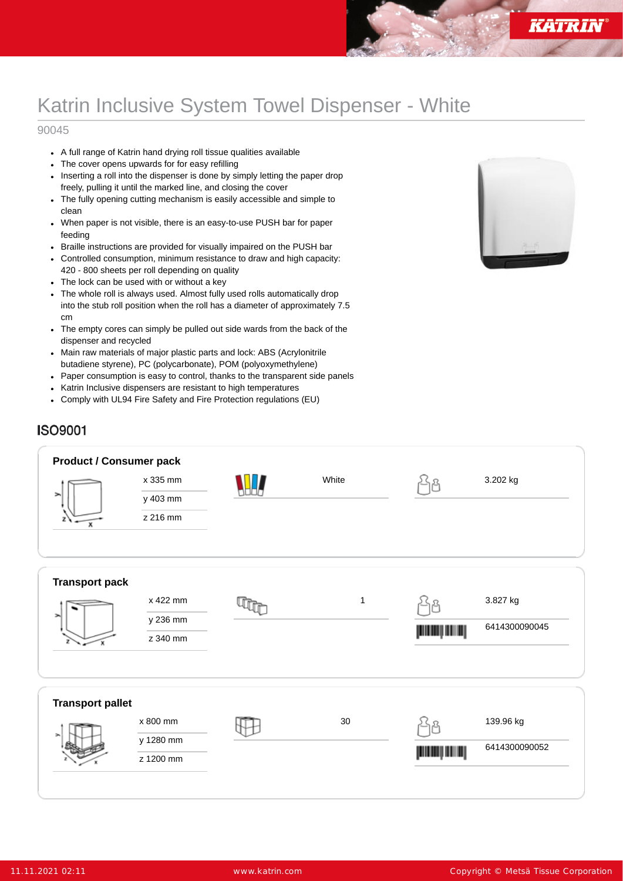# Katrin Inclusive System Towel Dispenser - White

### 90045

- A full range of Katrin hand drying roll tissue qualities available
- The cover opens upwards for for easy refilling
- Inserting a roll into the dispenser is done by simply letting the paper drop  $\ddot{\phantom{0}}$ freely, pulling it until the marked line, and closing the cover
- The fully opening cutting mechanism is easily accessible and simple to clean
- When paper is not visible, there is an easy-to-use PUSH bar for paper feeding
- Braille instructions are provided for visually impaired on the PUSH bar  $\bullet$
- Controlled consumption, minimum resistance to draw and high capacity:  $\bullet$ 420 - 800 sheets per roll depending on quality
- The lock can be used with or without a key
- The whole roll is always used. Almost fully used rolls automatically drop into the stub roll position when the roll has a diameter of approximately 7.5 cm
- The empty cores can simply be pulled out side wards from the back of the  $\bullet$ dispenser and recycled
- Main raw materials of major plastic parts and lock: ABS (Acrylonitrile  $\bullet$ butadiene styrene), PC (polycarbonate), POM (polyoxymethylene)
- Paper consumption is easy to control, thanks to the transparent side panels  $\bullet$
- Katrin Inclusive dispensers are resistant to high temperatures  $\bullet$
- Comply with UL94 Fire Safety and Fire Protection regulations (EU)  $\ddot{\phantom{a}}$



# **ISO9001**

| <b>Product / Consumer pack</b><br>⋗<br>$\mathbf x$ | x 335 mm<br>y 403 mm<br>z 216 mm   | White       |             | 3.202 kg                   |
|----------------------------------------------------|------------------------------------|-------------|-------------|----------------------------|
| <b>Transport pack</b>                              | x 422 mm<br>y 236 mm<br>z 340 mm   | $\mathbf 1$ | 욥<br>إسسابس | 3.827 kg<br>6414300090045  |
| <b>Transport pallet</b>                            | x 800 mm<br>y 1280 mm<br>z 1200 mm | $30\,$      | رسس بسسر    | 139.96 kg<br>6414300090052 |